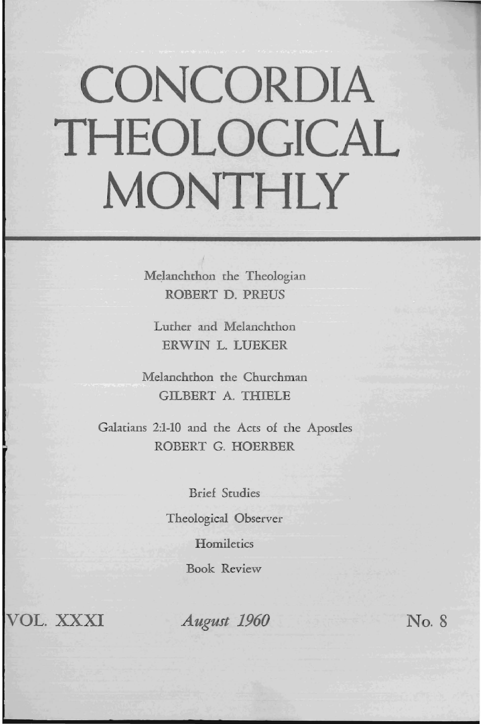# **CONCORDIA THEOLOGICAL MONTHLY**

Melanchthon the Theologian ROBERT D. PREUS

Luther and Melanchthon ERWIN L. LUEKER

Melanchthon the Churchman GILBERT A. THIELE

Galatians 2:1-10 and the Acts of the Apostles ROBERT G. HOERBER

> Brief Studies Theological Observer **Homiletics** Book Review

VOL. XXXI *August 1960* No.8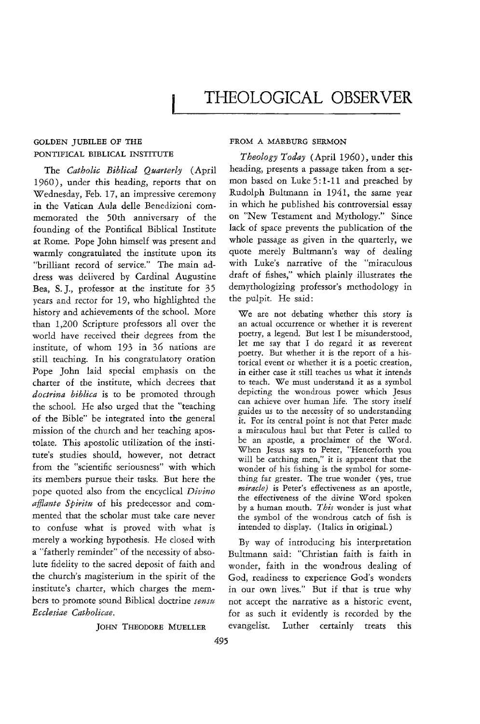# **THEOLOGICAL OBSERVER**

## GOLDEN JUBILEE OF THE PONTIFICAL BIBLICAL INSTITUTE

The *Catholic Biblical Quarterly* (April 1960), under this heading, reports that on Wednesday, Feb. 17, an impressive ceremony in the Vatican Aula delle Benedizioni commemorated the 50th anniversary of the founding of the Pontifical Biblical Institute at Rome. Pope John himself was present and warmly congratulated the institute upon its "brilliant record of service." The main address was delivered by Cardinal Augustine Bea, S. J., professor at the institute for 35 years and rector for 19, who highlighted the history and achievements of the school. More than 1,200 Scripture professors all over the world have received their degrees from the institute, of whom 193 in 36 nations are still teaching. In his congratulatory oration Pope John laid special emphasis on the charter of the institute, which decrees that *doctrina biblica* is to be promoted through the school. He also urged that the "teaching of the Bible" be integrated into the general mission of the church and her teaching apostolate. This apostolic utilization of the institute's studies should, however, not detract from the "scientific seriousness" with which its members pursue their tasks. But here the pope quoted also from the encyclical *Divino affiante Spiritu* of his predecessor and commented that the scholar must take care never to confuse what is proved with what is merely a working hypothesis. He closed with a "fatherly reminder" of the necessity of absolute fidelity to the sacred deposit of faith and the church's magisterium in the spirit of the institute's charter, which charges the members to promote sound Biblical doctrine *sensu Ecclesiae Catholicae.* 

JOHN THEODORE MUELLER

### FROM A MARBURG SERMON

*Theology Today* (April 1960), under this heading, presents a passage taken from a sermon based on Luke 5: 1-11 and preached by Rudolph Bultmann in 1941, the same year in which he published his controversial essay on "New Testament and Mythology." Since lack of space prevents the publication of the whole passage as given in the quarterly, we quote merely Bultmann's way of dealing with Luke's narrative of the "miraculous draft of fishes," which plainly illustrates the demythologizing professor's methodology In the pulpit. He said:

We are not debating whether this story is an actual occurrence or whether it is reverent poetry, a legend. But lest I be misunderstood, let me say that I do regard it as reverent poetry. But whether it is the report of a historical event or whether it is a poetic creation, in either case it still teaches us what it intends to teach. We must understand it as a symbol depicting the wondrous power which Jesus can achieve over human life. The story itself guides us to the necessity of so understanding it. For its central point is not that Peter made a miraculous haul but that Peter is called to be an apostle, a proclaimer of the Word. When Jesus says to Peter, "Henceforth you will be catching men," it is apparent that the wonder of his fishing is the symbol for something far greater. The true wonder (yes, true *miracle)* is Peter's effectiveness as an apostle, the effectiveness of the divine Word spoken by a human mouth. *This* wonder is just what the symbol of the wondrous catch of fish is intended to display. (Italics in original.)

By way of introducing his interpretation Bultmann said: "Christian faith is faith in wonder, faith in the wondrous dealing of God, readiness to experience God's wonders in our own lives." But if that is true why not accept the narrative as a historic event, for as such it evidently is recorded by the evangelist. Luther certainly treats this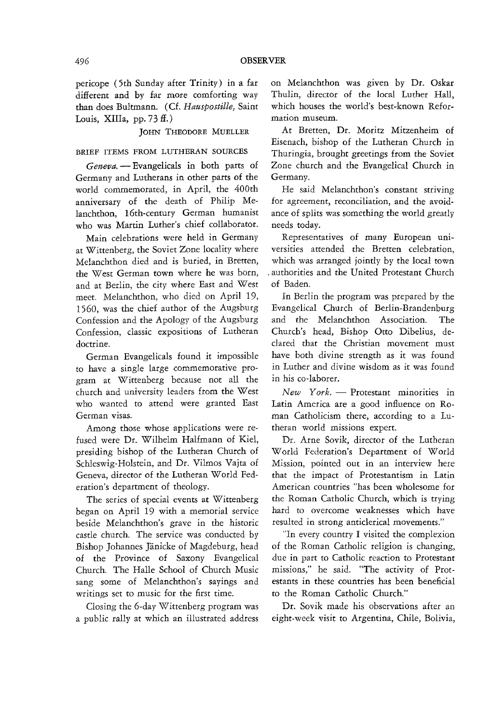pericope (5th Sunday after Trinity) in a far different and by far more comforting way than does Bultmann. (Cf. *Hauspostille,* Saint Louis, XIIIa,  $pp. 73 \text{ ff.}$ )

JOHN THEODORE MUELLER

### BRIEF ITEMS FROM LUTHERAN SOURCES

*Geneva.* - Evangelicals in both parts of Germany and Lutherans in other parts of the world commemorated, in April, the 400th anniversary of the death of Philip Melanchthon, 16th-century German humanist who was Martin Luther's chief collaborator.

Main celebrations were held in Germany at Wittenberg, the Soviet Zone locality where Melanchthon died and is buried, in Bretten, the West German town where he was born, and at Berlin, the city where East and West meet. Melanchthon, who died on April 19, 1560, was the chief author of the Augsburg Confession and the Apology of the Augsburg Confession, classic expositions of Lutheran doctrine.

German Evangelicals found it impossible to have a single large commemorative program at Wittenberg because not all the church and university leaders from the West who wanted to attend were granted East Getman visas.

Among those whose applications were refused were Dr. Wilhelm Halfmann of Kiel, presiding bishop of the Lutheran Church of Schleswig-Holstein, and Dr. Vilmos Vajta of Geneva, director of the Lutheran World Federation's department of theology.

The series of special events at Wittenberg began on April 19 with a memorial service beside Melanchthon's grave in the historic castle church. The service was conducted by Bishop Johannes Janicke of Magdeburg, head of the Province of Saxony Evangelical Church. The Halle School of Church Music sang some of Melanchthon's sayings and writings set to music for the first time.

Closing the 6-day Wittenberg program was a public rally at which an illustrated address on Melanchthon was given by Dr. Oskar Thulin, director of the local Luther Hall, which houses the world's best-known Reformation museum.

At Bretten, Dr. Moritz Mitzenheim of Eisenach, bishop of the Lutheran Church in Thuringia, brought greetings from the Soviet Zone church and the Evangelical Church in Germany.

He said Melanchthon's constant striving for agreement, reconciliation, and the avoidance of splits was something the world greatly needs today.

Representatives of many European universities attended the Bretten celebration, which was arranged jointly by the local town . authorities and the United Protestant Church of Baden.

In Berlin the program was prepared by the Evangelical Church of Berlin-Brandenburg and the Melanchthon Association. The Church's head, Bishop Otto Dibelius, declared that the Christian movement must have both divine strength as it was found in Luther and divine wisdom as it was found in his co-laborer.

New York. - Protestant minorities in Latin America are a good influence on Roman Catholicism there, according to a Lutheran world missions expert.

Dr. Arne Sovik, director of the Lutheran World Federation's Department of World Mission, pointed out in an interview here that the impact of Protestantism in Latin American countries "has been wholesome for the Roman Catholic Church, which is trying hard to overcome weaknesses which have resulted in strong anticlerical movements."

"In every country I visited the complexion of the Roman Catholic religion is changing, due in part to Catholic reaction to Protestant missions," he said. "The activity of Protestants in these countries has been beneficial to the Roman Catholic Church."

Dr. Sovik made his observations after an eight-week visit to Argentina, Chile, Bolivia,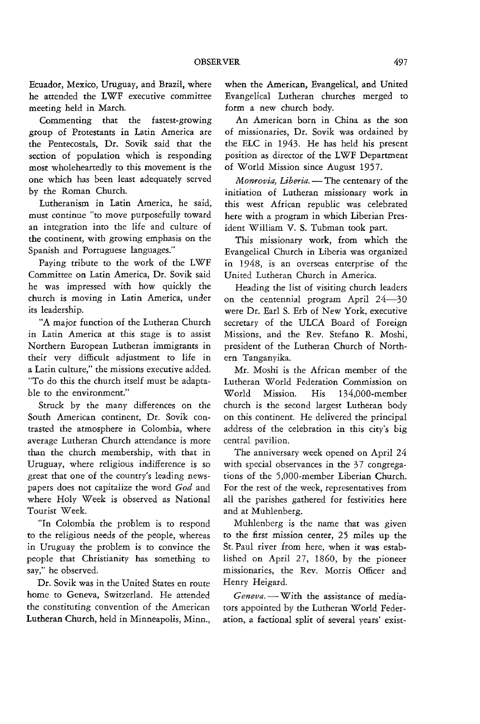Ecuador, Mexico, Uruguay, and Brazil, where he attended the LWF executive committee meeting held in March.

Commenting that the fastest-growing group of Protestants in Latin America are the Pentecostals, Dr. Sovik said that the section of population which is responding most wholeheartedly to this movement is the one which has been least adequately served by the Roman Church.

Lutheranism in Latin America, he said; must continue "to move purposefully toward an integration into the life and culture of the continent, with growing emphasis on the Spanish and Portuguese languages."

Paying tribute to the work of the LWF Committee on Latin America, Dr. Sovik said he was impressed with how quickly the church is moving in Latin America, under its leadership.

"A major function of the Lutheran Church in Latin America at this stage is to assist Northern European Lutheran immigrants in their very difficult adjustment to life in a Latin culture," the missions executive added. "To do this the church itself must be adaptable to the environment."

Struck by the many differences on the South American continent, Dr. Sovik contrasted the atmosphere in Colombia, where average Lutheran Church attendance is more than the church membership, with that in Uruguay, where religious indifference is so great that one of the country's leading newspapers does not capitalize the word *God* and where Holy Week is observed as National Tourist Week.

"In Colombia the problem is to respond to the religious needs of the people, whereas in Uruguay the problem is to convince the people that Christianity has something to say," he observed.

Dr. Sovik was in the United States en route home to Geneva, Switzerland. He attended the constituting convention of the American Lutheran Church, held in Minneapolis, Minn., when the American, Evangelical, and United Evangelical Lutheran churches merged to form a new church body.

An American born in China as the son of missionaries, Dr. Sovik was ordained by the ELC in 1943. He has held his present position as director of the LWF Department of World Mission since August 1957.

*Monrovia, Liberia.* - The centenary of the initiation of Lutheran missionary work in this west African republic was celebrated here with a program in which Liberian President William V. S. Tubman took part.

This missionary work, from which the Evangelical Church in Liberia was organized in 1948, is an overseas enterprise of the United Lutheran Church in America.

Heading the list of visiting church leaders on the centennial program April 24-30 were Dr. Earl S. Erb of New York, executive secretary of the ULCA Board of Foreign Missions, and the Rev. Stefano R. Moshi, president of the Lutheran Church of Northern Tanganyika.

Mr. Moshi is the African member of the Lutheran World Federation Commission on Wodd Mission. *His* 134,000-member church is the second largest Lutheran body on this continent. He delivered the principal address of the celebration in this city's big central pavilion.

The anniversary week opened on April 24 with special observances in the 37 congregations of the 5,000-member Liberian Church. For the rest of the week, representatives from all the parishes gathered for festivities here and at Muhlenberg.

Muhlenberg is the name that was given to the first mission center, 25 miles up the St. Paul river from here, when it was established on April 27, 1860, by the pioneer missionaries, the Rev. Morris Officer and Henry Heigard.

Geneva. - With the assistance of mediators appointed by the Lutheran World Federation, a factional split of several years' exist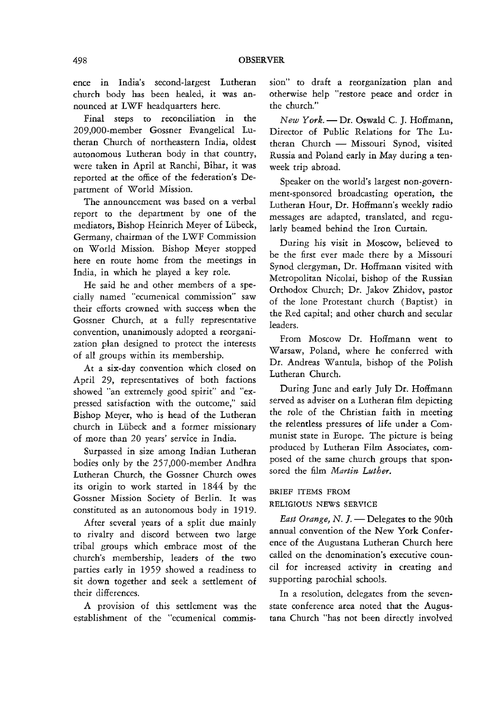ence in India's second-largest Lutheran church body has been healed, it was announced at LWF headquarters here.

Final steps to reconciliation in the 209,000-member Gossner Evangelical Lutheran Church of northeastern India, oldest autonomous Lutheran body in that country, were taken in April at Ranchi, Bihar, it was reported at the office of the federation's Department of World Mission.

The announcement was based on a verbal report to the department by one of the mediators, Bishop Heinrich Meyer of Lubeck, Germany, chairman of the LWF Commission on World Mission. Bishop Meyer stopped here en route home from the meetings in India, in which he played a key role.

He said he and other members of a specially named "ecumenical commission" saw their efforts crowned with success when the Gossner Church, at a fully representative convention, unanimously adopted a reorganization plan designed to protect the interests of all groups within its membership.

At a six-day convention which closed on April 29, representatives of both factions showed "an extremely good spirit" and "expressed satisfaction with the outcome," said Bishop Meyer, who is head of the Lutheran church in Lubeck and a former missionary of more than 20 years' service in India.

Surpassed in size among Indian Lutheran bodies only by the 257,000-member Andhra Lutheran Church, the Gossner Church owes its origin to work started in 1844 by the Gossner Mission Society of Berlin. It was constituted as an autonomous body in 1919.

After several years of a split due mainly to rivalry and discord between two large tribal groups which embrace most of the church's membership, leaders of the two parties early in 1959 showed a readiness to sit down together and seek a settlement of their differences.

A provision of this settlement was the establishment of the "ecumenical commis-

sion" to draft a reorganization plan and otherwise help "restore peace and order in the church."

*New York.* - Dr. Oswald C. J. Hoffmann, Director of Public Relations for The Lutheran Church - Missouri Synod, visited Russia and Poland early in May during a tenweek trip abroad.

Speaker on the world's largest non-government-sponsored broadcasting operation, the Lutheran Hour, Dr. Hoffmann's weekly radio messages are adapted, translated, and regularly beamed behind the Iron Curtain.

During his visit in Moscow, believed to be the first ever made there by a Missouri Synod clergyman, Dr. Hoffmann visited with Metropolitan Nicolai, bishop of the Russian Orthodox Church; Dr. Jakov Zhidov, pastor of the lone Protestant church (Baptist) in the Red capital; and other church and secular leaders.

From Moscow Dr. Hoffmann went to Warsaw, Poland, where he conferred with Dr. Andreas Wantula, bishop of the Polish Lutheran Church.

During June and early July Dr. Hoffmann served as adviser on a Lutheran film depicting the role of the Christian faith in meeting the relentless pressures of life under a Communist state in Europe. The picture is being produced by Lutheran Film Associates, composed of the same church groups that sponsored the film *Martin Luther.* 

BRIEF ITEMS FROM RELIGIOUS NEWS SERVICE

*East Orange, N. J.* - Delegates to the 90th annual convention of the New York Conference of the Augustana Lutheran Church here called on the denomination's executive council for increased activity in creating and supporting parochial schools.

In a resolution, delegates from the sevenstate conference area noted that the Augustana Church "has not been directly involved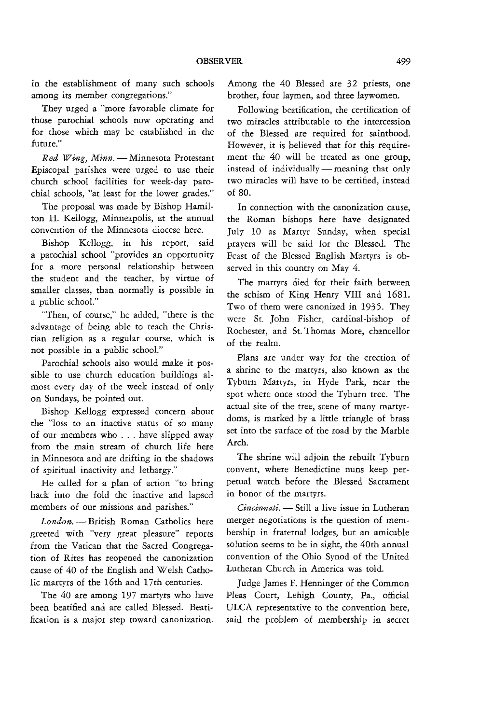in the establishment of many such schools among its member congregations."

They urged a "more favorable climate for those parochial schools now operating and for those which may be established in the future."

*Red Wing, Minn.* - Minnesota Protestant Episcopal parishes were urged to use their church school facilities for week-day parochial schools, "at least for the lower grades."

The proposal was made by Bishop Hamilton H. Kellogg, Minneapolis, at the annual convention of the Minnesota diocese here.

Bishop Kellogg, in his report, said a parochial school "provides an opportunity for a more personal relationship between the student and the teacher, by virtue of smaller classes, than normally is possible in a public school."

. 'Then, of course," he added, "there is the advantage of being able to teach the Christian religion as a regular course, which is not possible in a public school."

Parochial schools also would make it possible to use church education buildings almost every day of the week instead of only on Sundays, he pointed out.

Bishop Kellogg expressed concern about the "loss to an inactive status of so many of our members who ... have slipped away from the main stream of church life here in Minnesota and are drifting in the shadows of spiritual inactivity and lethargy."

He called for a plan of action "to bring back into the fold the inactive and lapsed members of our missions and parishes."

London. - British Roman Catholics here greeted with "very great pleasure" reports from the Vatican that the Sacred Congregation of Rites has reopened the canonization cause of 40 of the English and Welsh Catholic martyrs of the 16th and 17th centuries.

The 40 are among 197 martyrs who have been beatified and are called Blessed. Beatification is a major step toward canonization.

Among the 40 Blessed are 32 priests, one brother, four laymen, and three laywomen.

Following beatification, the certification of two miracles attributable to the intercession of the Blessed are required for sainthood. However, it is believed that for this requirement the 40 will be treated as one group, instead of individually  $-$  meaning that only two miracles will have to be certified, instead of 80.

**In** connection with the canonization cause, the Roman bishops here have designated July 10 as Martyr Sunday, when special prayers will be said for the Blessed. The Feast of the Blessed English Martyrs is observed in this country on May 4.

The martyrs died for their faith between the schism of King Henry VIII and 1681. Two of them were canonized in 1935. They were St. John Fisher, cardinal-bishop of Rochester, and St. Thomas More, chancellor of the realm.

Plans are under way for the erection of a shrine to the martyrs, also known as the Tyburn Martyrs, in Hyde Park, near the spot where once stood the Tyburn tree. The actual site of the tree, scene of many martyrdoms, is marked by a little triangle of brass set into the surface of the road by the Marble Arch.

The shrine will adjoin the rebuilt Tyburn convent, where Benedictine nuns keep perpetual watch before the Blessed Sacrament in honor of the martyrs.

*Cincinnati.* - Still a live issue in Lutheran merger negotiations is the question of membership in fraternal lodges, but an amicable solution seems to be in sight, the 40th annual convention of the Ohio Synod of the United Lutheran Church in America was told.

Judge James F. Henninger of the Common Pleas Court, Lehigh County, Pa., official ULCA representative to the convention here, said the problem of membership in secret